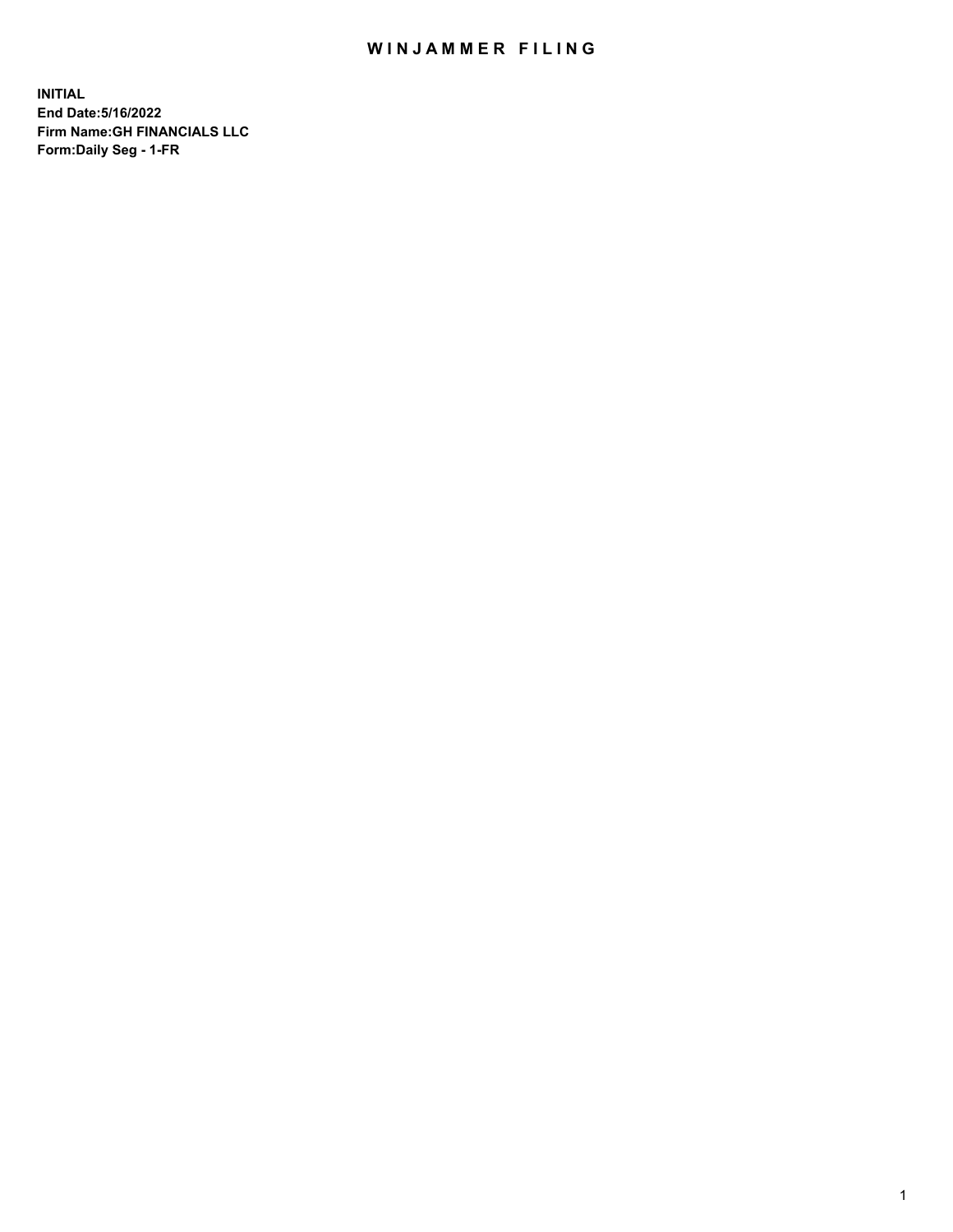## WIN JAMMER FILING

**INITIAL End Date:5/16/2022 Firm Name:GH FINANCIALS LLC Form:Daily Seg - 1-FR**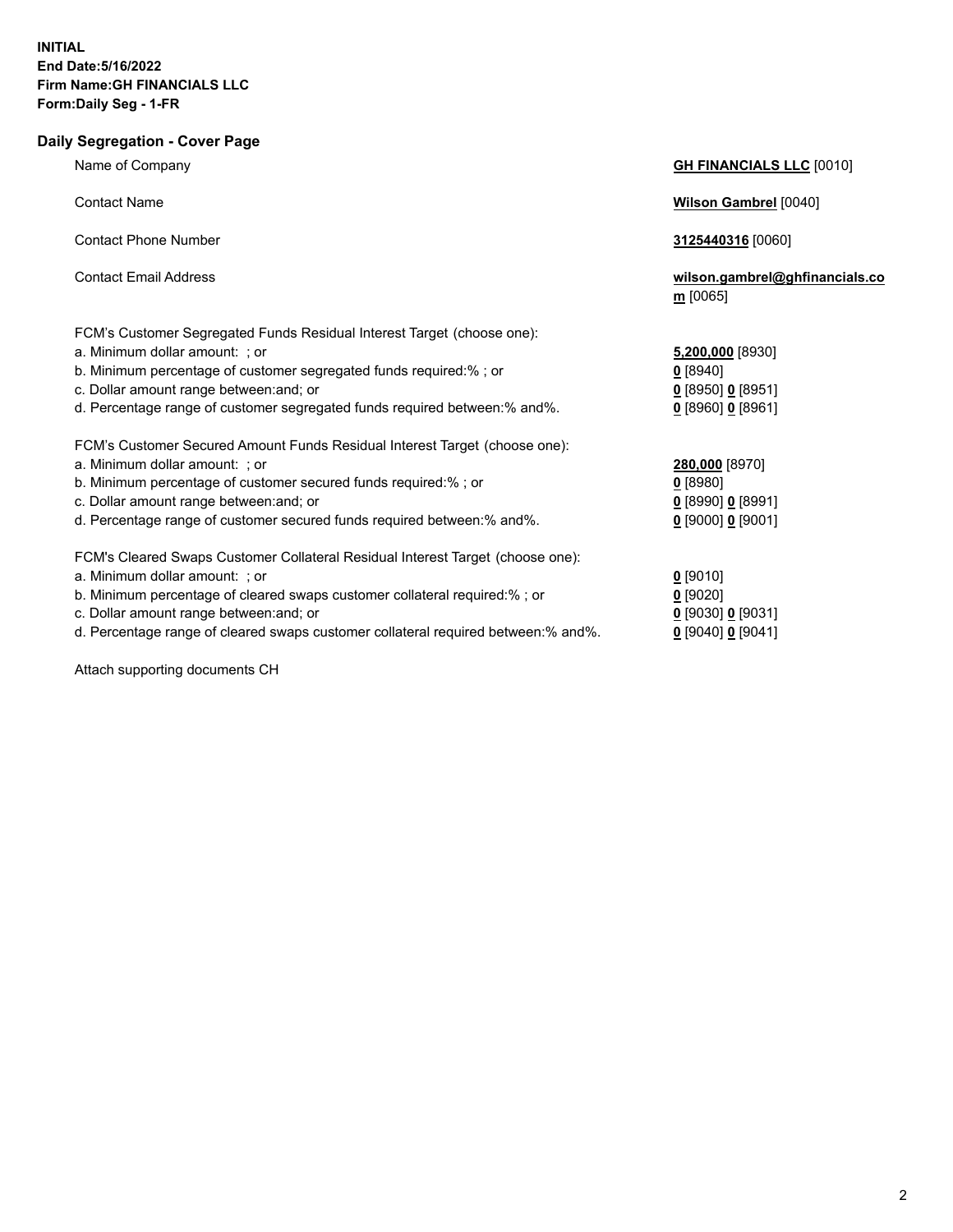## **Daily Segregation - Cover Page** Name of Company **GH FINANCIALS LLC** [0010] Contact Name **Wilson Gambrel** [0040] Contact Phone Number **3125440316** [0060] Contact Email Address **wilson.gambrel@ghfinancials.co m** [0065] FCM's Customer Segregated Funds Residual Interest Target (choose one): a. Minimum dollar amount: ; or **5,200,000** [8930] b. Minimum percentage of customer segregated funds required:% ; or **0** [8940] c. Dollar amount range between:and; or **0** [8950] **0** [8951] d. Percentage range of customer segregated funds required between:% and%. **0** [8960] **0** [8961] FCM's Customer Secured Amount Funds Residual Interest Target (choose one): a. Minimum dollar amount: ; or **280,000** [8970] b. Minimum percentage of customer secured funds required:% ; or **0** [8980] c. Dollar amount range between:and; or **0** [8990] **0** [8991] d. Percentage range of customer secured funds required between:% and%. **0** [9000] **0** [9001] FCM's Cleared Swaps Customer Collateral Residual Interest Target (choose one): a. Minimum dollar amount: ; or **0** [9010] b. Minimum percentage of cleared swaps customer collateral required:% ; or **0** [9020] c. Dollar amount range between:and; or **0** [9030] **0** [9031] d. Percentage range of cleared swaps customer collateral required between:% and%. **0** [9040] **0** [9041]

Attach supporting documents CH

2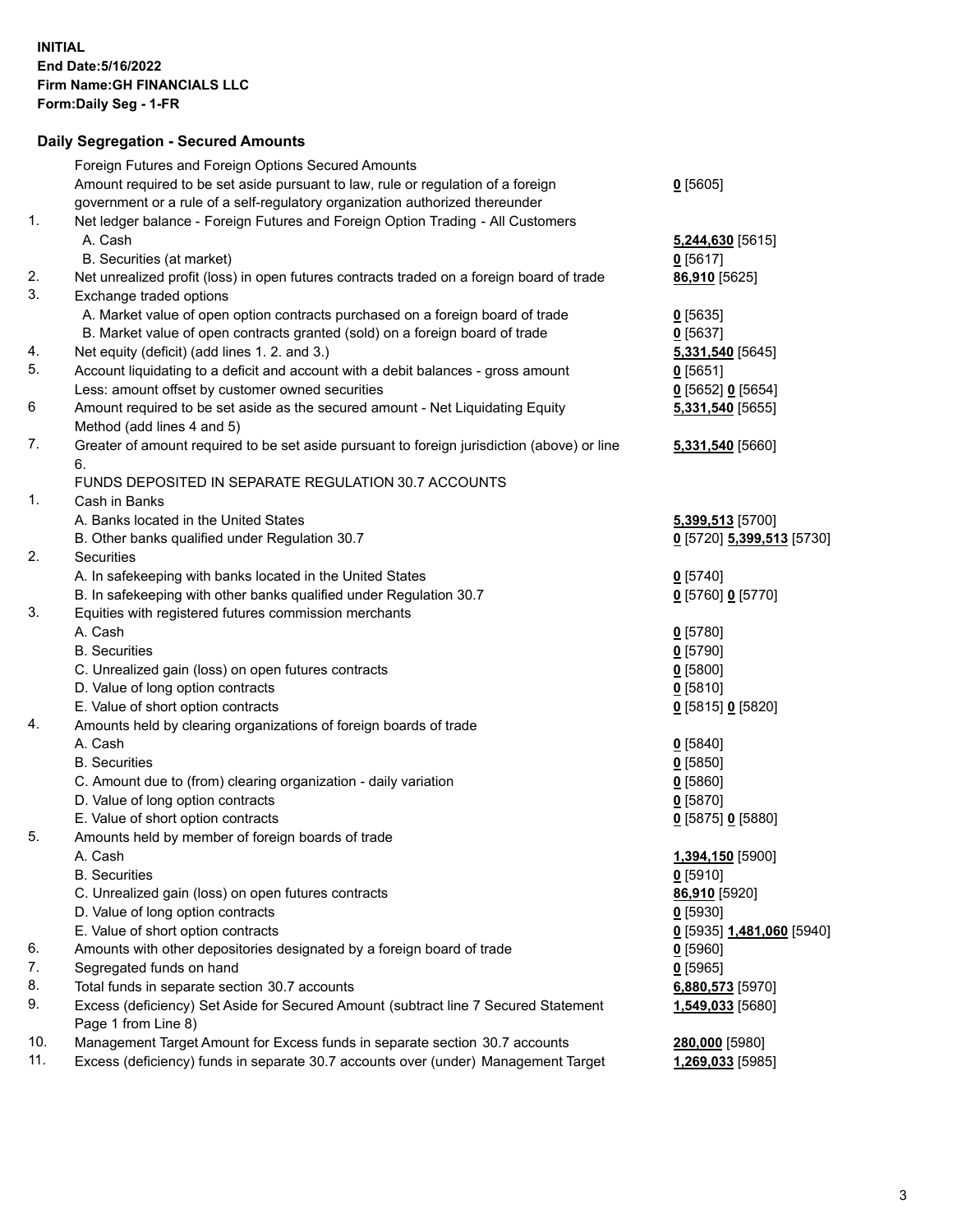## **Daily Segregation - Secured Amounts**

|     | Foreign Futures and Foreign Options Secured Amounts                                         |                           |
|-----|---------------------------------------------------------------------------------------------|---------------------------|
|     | Amount required to be set aside pursuant to law, rule or regulation of a foreign            | 0[5605]                   |
|     | government or a rule of a self-regulatory organization authorized thereunder                |                           |
| 1.  | Net ledger balance - Foreign Futures and Foreign Option Trading - All Customers             |                           |
|     | A. Cash                                                                                     | 5,244,630 [5615]          |
|     | B. Securities (at market)                                                                   | $0$ [5617]                |
| 2.  | Net unrealized profit (loss) in open futures contracts traded on a foreign board of trade   | 86,910 [5625]             |
| 3.  | Exchange traded options                                                                     |                           |
|     | A. Market value of open option contracts purchased on a foreign board of trade              | $0$ [5635]                |
|     | B. Market value of open contracts granted (sold) on a foreign board of trade                | $0$ [5637]                |
| 4.  | Net equity (deficit) (add lines 1. 2. and 3.)                                               | 5,331,540 [5645]          |
| 5.  | Account liquidating to a deficit and account with a debit balances - gross amount           | $0$ [5651]                |
|     | Less: amount offset by customer owned securities                                            | 0 [5652] 0 [5654]         |
| 6   | Amount required to be set aside as the secured amount - Net Liquidating Equity              | 5,331,540 [5655]          |
|     | Method (add lines 4 and 5)                                                                  |                           |
| 7.  | Greater of amount required to be set aside pursuant to foreign jurisdiction (above) or line | 5,331,540 [5660]          |
|     | 6.                                                                                          |                           |
|     | FUNDS DEPOSITED IN SEPARATE REGULATION 30.7 ACCOUNTS                                        |                           |
| 1.  | Cash in Banks                                                                               |                           |
|     | A. Banks located in the United States                                                       | 5,399,513 [5700]          |
|     | B. Other banks qualified under Regulation 30.7                                              | 0 [5720] 5,399,513 [5730] |
| 2.  | Securities                                                                                  |                           |
|     | A. In safekeeping with banks located in the United States                                   | $0$ [5740]                |
|     | B. In safekeeping with other banks qualified under Regulation 30.7                          | 0 [5760] 0 [5770]         |
| 3.  | Equities with registered futures commission merchants                                       |                           |
|     | A. Cash                                                                                     | $0$ [5780]                |
|     | <b>B.</b> Securities                                                                        | $0$ [5790]                |
|     | C. Unrealized gain (loss) on open futures contracts                                         | $0$ [5800]                |
|     | D. Value of long option contracts                                                           | 0[5810]                   |
|     | E. Value of short option contracts                                                          | 0 [5815] 0 [5820]         |
| 4.  | Amounts held by clearing organizations of foreign boards of trade                           |                           |
|     | A. Cash                                                                                     | $0$ [5840]                |
|     | <b>B.</b> Securities                                                                        | $0$ [5850]                |
|     | C. Amount due to (from) clearing organization - daily variation                             | 0[5860]                   |
|     | D. Value of long option contracts                                                           | $0$ [5870]                |
|     | E. Value of short option contracts                                                          | 0 [5875] 0 [5880]         |
| 5.  | Amounts held by member of foreign boards of trade                                           |                           |
|     | A. Cash                                                                                     | 1,394,150 [5900]          |
|     | <b>B.</b> Securities                                                                        | $0$ [5910]                |
|     | C. Unrealized gain (loss) on open futures contracts                                         | 86,910 [5920]             |
|     | D. Value of long option contracts                                                           | $0$ [5930]                |
|     | E. Value of short option contracts                                                          | 0 [5935] 1,481,060 [5940] |
| 6.  | Amounts with other depositories designated by a foreign board of trade                      | $0$ [5960]                |
| 7.  | Segregated funds on hand                                                                    | $0$ [5965]                |
| 8.  | Total funds in separate section 30.7 accounts                                               | 6,880,573 [5970]          |
| 9.  | Excess (deficiency) Set Aside for Secured Amount (subtract line 7 Secured Statement         | 1,549,033 [5680]          |
|     | Page 1 from Line 8)                                                                         |                           |
| 10. | Management Target Amount for Excess funds in separate section 30.7 accounts                 | 280,000 [5980]            |
| 11. | Excess (deficiency) funds in separate 30.7 accounts over (under) Management Target          | 1,269,033 [5985]          |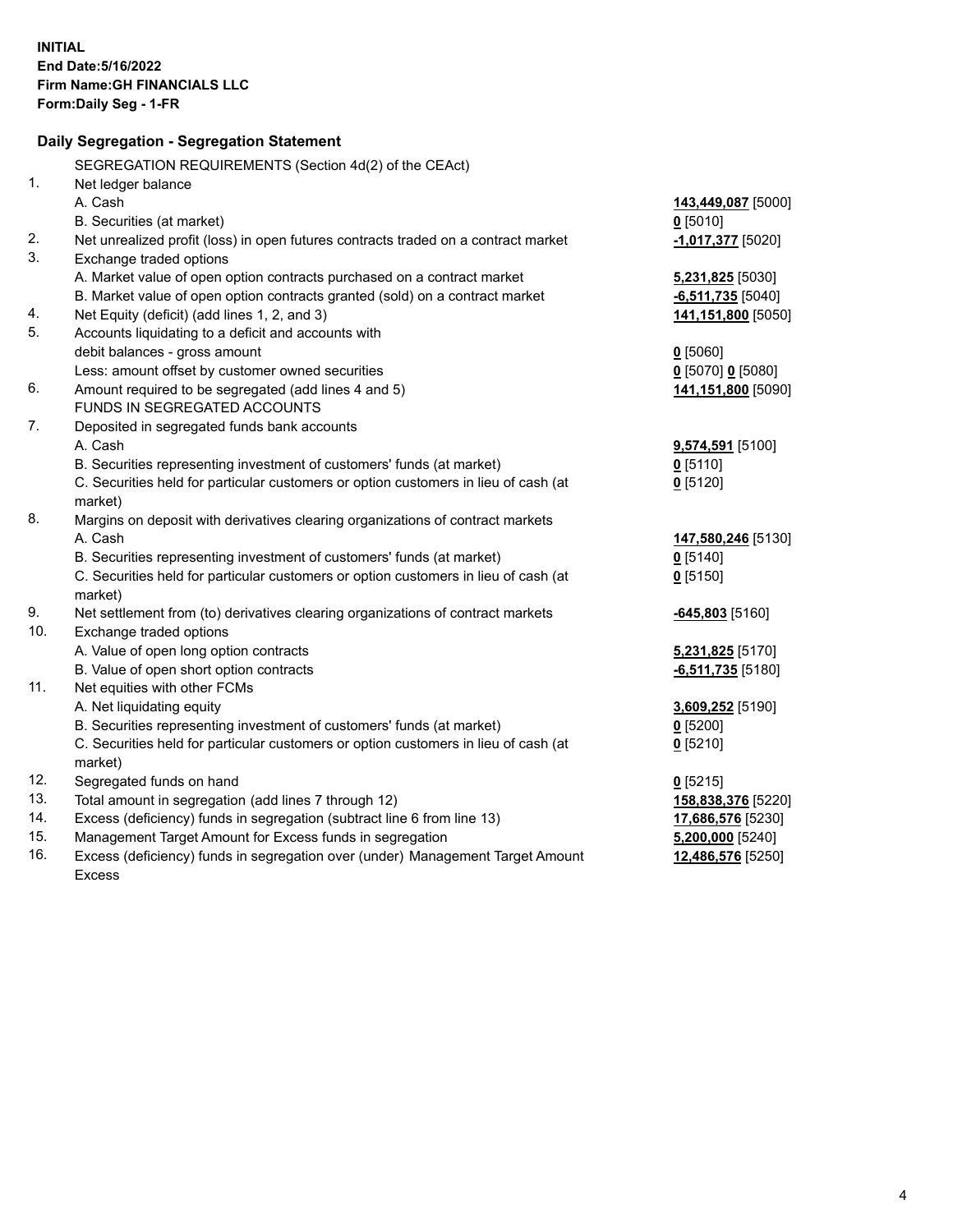|            | Daily Segregation - Segregation Statement                                           |                     |
|------------|-------------------------------------------------------------------------------------|---------------------|
|            | SEGREGATION REQUIREMENTS (Section 4d(2) of the CEAct)                               |                     |
| 1.         | Net ledger balance                                                                  |                     |
|            | A. Cash                                                                             | 143,449,087 [5000]  |
|            | B. Securities (at market)                                                           | $0$ [5010]          |
| 2.         | Net unrealized profit (loss) in open futures contracts traded on a contract market  | -1,017,377 [5020]   |
| 3.         | Exchange traded options                                                             |                     |
|            | A. Market value of open option contracts purchased on a contract market             | 5,231,825 [5030]    |
|            | B. Market value of open option contracts granted (sold) on a contract market        | $-6,511,735$ [5040] |
| 4.         | Net Equity (deficit) (add lines 1, 2, and 3)                                        | 141,151,800 [5050]  |
| 5.         | Accounts liquidating to a deficit and accounts with                                 |                     |
|            | debit balances - gross amount                                                       | $0$ [5060]          |
|            | Less: amount offset by customer owned securities                                    | $0$ [5070] 0 [5080] |
| 6.         | Amount required to be segregated (add lines 4 and 5)                                | 141,151,800 [5090]  |
|            | FUNDS IN SEGREGATED ACCOUNTS                                                        |                     |
| 7.         | Deposited in segregated funds bank accounts                                         |                     |
|            | A. Cash                                                                             | 9,574,591 [5100]    |
|            | B. Securities representing investment of customers' funds (at market)               | $0$ [5110]          |
|            | C. Securities held for particular customers or option customers in lieu of cash (at | $0$ [5120]          |
|            | market)                                                                             |                     |
| 8.         | Margins on deposit with derivatives clearing organizations of contract markets      |                     |
|            | A. Cash                                                                             | 147,580,246 [5130]  |
|            | B. Securities representing investment of customers' funds (at market)               | $0$ [5140]          |
|            | C. Securities held for particular customers or option customers in lieu of cash (at | $0$ [5150]          |
|            | market)                                                                             |                     |
| 9.         | Net settlement from (to) derivatives clearing organizations of contract markets     | $-645,803$ [5160]   |
| 10.        | Exchange traded options                                                             |                     |
|            | A. Value of open long option contracts                                              | 5,231,825 [5170]    |
|            | B. Value of open short option contracts                                             | $-6,511,735$ [5180] |
| 11.        | Net equities with other FCMs                                                        |                     |
|            | A. Net liquidating equity                                                           | 3,609,252 [5190]    |
|            | B. Securities representing investment of customers' funds (at market)               | $0$ [5200]          |
|            | C. Securities held for particular customers or option customers in lieu of cash (at | $0$ [5210]          |
|            | market)                                                                             |                     |
| 12.        | Segregated funds on hand                                                            | $0$ [5215]          |
| 13.        | Total amount in segregation (add lines 7 through 12)                                | 158,838,376 [5220]  |
| 14.        | Excess (deficiency) funds in segregation (subtract line 6 from line 13)             | 17,686,576 [5230]   |
| 15.<br>16. | Management Target Amount for Excess funds in segregation                            | $5,200,000$ [5240]  |
|            | Excess (deficiency) funds in segregation over (under) Management Target Amount      | 12,486,576 [5250]   |
|            | <b>Excess</b>                                                                       |                     |